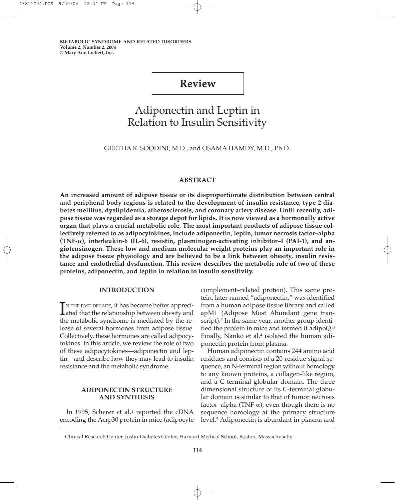## **Review**

# Adiponectin and Leptin in Relation to Insulin Sensitivity

GEETHA R. SOODINI, M.D., and OSAMA HAMDY, M.D., Ph.D.

## **ABSTRACT**

**An increased amount of adipose tissue or its disproportionate distribution between central and peripheral body regions is related to the development of insulin resistance, type 2 diabetes mellitus, dyslipidemia, atherosclerosis, and coronary artery disease. Until recently, adipose tissue was regarded as a storage depot for lipids. It is now viewed as a hormonally active organ that plays a crucial metabolic role. The most important products of adipose tissue collectively referred to as adipocytokines, include adiponectin, leptin, tumor necrosis factor–alpha** (TNF-α), interleukin-6 (IL-6), resistin, plasminogen-activating inhibitor–I (PAI-1), and an**giotensinogen. These low and medium molecular weight proteins play an important role in the adipose tissue physiology and are believed to be a link between obesity, insulin resistance and endothelial dysfunction. This review describes the metabolic role of two of these proteins, adiponectin, and leptin in relation to insulin sensitivity.**

#### **INTRODUCTION**

IN THE PAST DECADE, it has become better appreci-<br>ated that the relationship between obesity and<br>the metabolic syndrome is mediated by the reated that the relationship between obesity and the metabolic syndrome is mediated by the release of several hormones from adipose tissue. Collectively, these hormones are called adipocytokines. In this article, we review the role of two of these adipocytokines—adiponectin and leptin—and describe how they may lead to insulin resistance and the metabolic syndrome.

## **ADIPONECTIN STRUCTURE AND SYNTHESIS**

In 1995, Scherer et al.<sup>1</sup> reported the cDNA encoding the Acrp30 protein in mice (adipocyte

complement–related protein). This same protein, later named "adiponectin," was identified from a human adipose tissue library and called apM1 (Adipose Most Abundant gene transcript).<sup>2</sup> In the same year, another group identified the protein in mice and termed it adipoQ.3 Finally, Nanko et al.<sup>4</sup> isolated the human adiponectin protein from plasma.

Human adiponectin contains 244 amino acid residues and consists of a 20-residue signal sequence, an N-terminal region without homology to any known proteins, a collagen-like region, and a C-terminal globular domain. The three dimensional structure of its C-terminal globular domain is similar to that of tumor necrosis factor–alpha (TNF- $\alpha$ ), even though there is no sequence homology at the primary structure level.5 Adiponectin is abundant in plasma and

Clinical Research Center, Joslin Diabetes Center, Harvard Medical School, Boston, Massachusetts.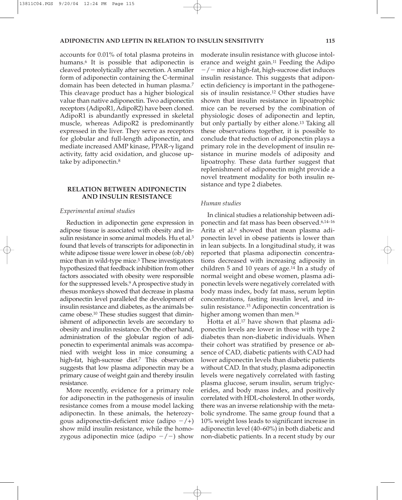accounts for 0.01% of total plasma proteins in humans.<sup>6</sup> It is possible that adiponectin is cleaved proteolytically after secretion. A smaller form of adiponectin containing the C-terminal domain has been detected in human plasma.7 This cleavage product has a higher biological value than native adiponectin. Two adiponectin receptors (AdipoR1, AdipoR2) have been cloned. AdipoR1 is abundantly expressed in skeletal muscle, whereas AdipoR2 is predominantly expressed in the liver. They serve as receptors for globular and full-length adiponectin, and mediate increased AMP kinase,  $PPAR-\gamma$  ligand activity, fatty acid oxidation, and glucose uptake by adiponectin.8

## **RELATION BETWEEN ADIPONECTIN AND INSULIN RESISTANCE**

#### *Experimental animal studies*

Reduction in adiponectin gene expression in adipose tissue is associated with obesity and insulin resistance in some animal models. Hu et al.3 found that levels of transcripts for adiponectin in white adipose tissue were lower in obese (ob/ob) mice than in wild-type mice.3 These investigators hypothesized that feedback inhibition from other factors associated with obesity were responsible for the suppressed levels.9 A prospective study in rhesus monkeys showed that decrease in plasma adiponectin level paralleled the development of insulin resistance and diabetes, as the animals became obese.10 These studies suggest that diminishment of adiponectin levels are secondary to obesity and insulin resistance. On the other hand, administration of the globular region of adiponectin to experimental animals was accompanied with weight loss in mice consuming a high-fat, high-sucrose diet.<sup>7</sup> This observation suggests that low plasma adiponectin may be a primary cause of weight gain and thereby insulin resistance.

More recently, evidence for a primary role for adiponectin in the pathogenesis of insulin resistance comes from a mouse model lacking adiponectin. In these animals, the heterozygous adiponectin-deficient mice (adipo  $-/+$ ) show mild insulin resistance, while the homozygous adiponectin mice (adipo  $-/-$ ) show

moderate insulin resistance with glucose intolerance and weight gain.11 Feeding the Adipo  $-/-$  mice a high-fat, high-sucrose diet induces insulin resistance. This suggests that adiponectin deficiency is important in the pathogenesis of insulin resistance.12 Other studies have shown that insulin resistance in lipoatrophic mice can be reversed by the combination of physiologic doses of adiponectin and leptin, but only partially by either alone.13 Taking all these observations together, it is possible to conclude that reduction of adiponectin plays a primary role in the development of insulin resistance in murine models of adiposity and lipoatrophy. These data further suggest that replenishment of adiponectin might provide a novel treatment modality for both insulin resistance and type 2 diabetes.

#### *Human studies*

In clinical studies a relationship between adiponectin and fat mass has been observed.6,14–16 Arita et al.<sup>6</sup> showed that mean plasma adiponectin level in obese patients is lower than in lean subjects. In a longitudinal study, it was reported that plasma adiponectin concentrations decreased with increasing adiposity in children 5 and 10 years of age.14 In a study of normal weight and obese women, plasma adiponectin levels were negatively correlated with body mass index, body fat mass, serum leptin concentrations, fasting insulin level, and insulin resistance.15 Adiponectin concentration is higher among women than men.<sup>16</sup>

Hotta et al.17 have shown that plasma adiponectin levels are lower in those with type 2 diabetes than non-diabetic individuals. When their cohort was stratified by presence or absence of CAD, diabetic patients with CAD had lower adiponectin levels than diabetic patients without CAD. In that study, plasma adiponectin levels were negatively correlated with fasting plasma glucose, serum insulin, serum triglycerides, and body mass index, and positively correlated with HDL-cholesterol. In other words, there was an inverse relationship with the metabolic syndrome. The same group found that a 10% weight loss leads to significant increase in adiponectin level (40–60%) in both diabetic and non-diabetic patients. In a recent study by our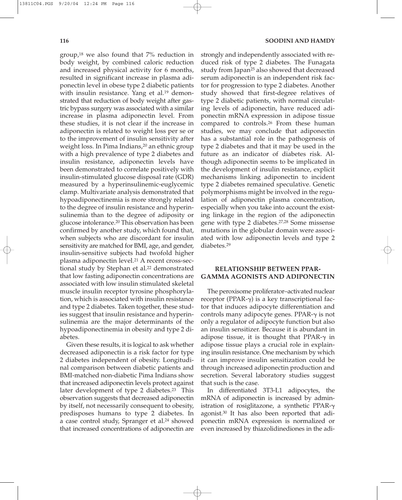group,18 we also found that 7% reduction in body weight, by combined caloric reduction and increased physical activity for 6 months, resulted in significant increase in plasma adiponectin level in obese type 2 diabetic patients with insulin resistance. Yang et al.<sup>19</sup> demonstrated that reduction of body weight after gastric bypass surgery was associated with a similar increase in plasma adiponectin level. From these studies, it is not clear if the increase in adiponectin is related to weight loss per se or to the improvement of insulin sensitivity after weight loss. In Pima Indians,<sup>20</sup> an ethnic group with a high prevalence of type 2 diabetes and insulin resistance, adiponectin levels have been demonstrated to correlate positively with insulin-stimulated glucose disposal rate (GDR) measured by a hyperinsulinemic-euglycemic clamp. Multivariate analysis demonstrated that hypoadiponectinemia is more strongly related to the degree of insulin resistance and hyperinsulinemia than to the degree of adiposity or glucose intolerance.20 This observation has been confirmed by another study, which found that, when subjects who are discordant for insulin sensitivity are matched for BMI, age, and gender, insulin-sensitive subjects had twofold higher plasma adiponectin level.21 A recent cross-sectional study by Stephan et al.<sup>22</sup> demonstrated that low fasting adiponectin concentrations are associated with low insulin stimulated skeletal muscle insulin receptor tyrosine phosphorylation, which is associated with insulin resistance and type 2 diabetes. Taken together, these studies suggest that insulin resistance and hyperinsulinemia are the major determinants of the hypoadiponectinemia in obesity and type 2 diabetes.

Given these results, it is logical to ask whether decreased adiponectin is a risk factor for type 2 diabetes independent of obesity. Longitudinal comparison between diabetic patients and BMI-matched non-diabetic Pima Indians show that increased adiponectin levels protect against later development of type 2 diabetes.<sup>23</sup> This observation suggests that decreased adiponectin by itself, not necessarily consequent to obesity, predisposes humans to type 2 diabetes. In a case control study, Spranger et al.<sup>24</sup> showed that increased concentrations of adiponectin are strongly and independently associated with reduced risk of type 2 diabetes. The Funagata study from Japan25 also showed that decreased serum adiponectin is an independent risk factor for progression to type 2 diabetes. Another study showed that first-degree relatives of type 2 diabetic patients, with normal circulating levels of adiponectin, have reduced adiponectin mRNA expression in adipose tissue compared to controls.26 From these human studies, we may conclude that adiponectin has a substantial role in the pathogenesis of type 2 diabetes and that it may be used in the future as an indicator of diabetes risk. Although adiponectin seems to be implicated in the development of insulin resistance, explicit mechanisms linking adiponectin to incident type 2 diabetes remained speculative. Genetic polymorphisms might be involved in the regulation of adiponectin plasma concentration, especially when you take into account the existing linkage in the region of the adiponectin gene with type 2 diabetes.27,28 Some missense mutations in the globular domain were associated with low adiponectin levels and type 2 diabetes.29

## **RELATIONSHIP BETWEEN PPAR-GAMMA AGONISTS AND ADIPONECTIN**

The peroxisome proliferator–activated nuclear receptor (PPAR- $\gamma$ ) is a key transcriptional factor that induces adipocyte differentiation and controls many adipocyte genes. PPAR- $\gamma$  is not only a regulator of adipocyte function but also an insulin sensitizer. Because it is abundant in adipose tissue, it is thought that PPAR- $\gamma$  in adipose tissue plays a crucial role in explaining insulin resistance. One mechanism by which it can improve insulin sensitization could be through increased adiponectin production and secretion. Several laboratory studies suggest that such is the case.

In differentiated 3T3-L1 adipocytes, the mRNA of adiponectin is increased by administration of rosiglitazone, a synthetic PPAR- $\gamma$ agonist.30 It has also been reported that adiponectin mRNA expression is normalized or even increased by thiazolidinediones in the adi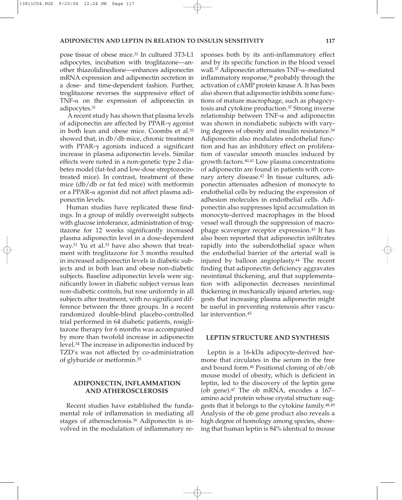pose tissue of obese mice.31 In cultured 3T3-L1 adipocytes, incubation with troglitazone—another thiazolidinedione—enhances adiponectin mRNA expression and adiponectin secretion in a dose- and time-dependent fashion. Further, troglitazone reverses the suppressive effect of  $TNF-\alpha$  on the expression of adiponectin in adipocytes.31

A recent study has shown that plasma levels of adiponectin are affected by PPAR- $\gamma$  agonist in both lean and obese mice. Coombs et al.32 showed that, in db/db mice, chronic treatment with PPAR- $\gamma$  agonists induced a significant increase in plasma adiponectin levels. Similar effects were noted in a non-genetic type 2 diabetes model (fat-fed and low-dose streptozocintreated mice). In contrast, treatment of these mice (db/db or fat fed mice) with metformin or a PPAR-α agonist did not affect plasma adiponectin levels.

Human studies have replicated these findings. In a group of mildly overweight subjects with glucose intolerance, administration of trogitazone for 12 weeks significantly increased plasma adiponectin level in a dose-dependent way.31 Yu et al.33 have also shown that treatment with troglitazone for 3 months resulted in increased adiponectin levels in diabetic subjects and in both lean and obese non-diabetic subjects. Baseline adiponectin levels were significantly lower in diabetic subject versus lean non-diabetic controls, but rose uniformly in all subjects after treatment, with no significant difference between the three groups. In a recent randomized double-blind placebo-controlled trial performed in 64 diabetic patients, rosiglitazone therapy for 6 months was accompanied by more than twofold increase in adiponectin level.34 The increase in adiponectin induced by TZD's was not affected by co-administration of glyburide or metformin.35

## **ADIPONECTIN, INFLAMMATION AND ATHEROSCLEROSIS**

Recent studies have established the fundamental role of inflammation in mediating all stages of atherosclerosis.36 Adiponectin is involved in the modulation of inflammatory responses both by its anti-inflammatory effect and by its specific function in the blood vessel wall.<sup>37</sup> Adiponectin attenuates TNF-α-mediated inflammatory response,38 probably through the activation of cAMP protein kinase A. It has been also shown that adiponectin inhibits some functions of mature macrophage, such as phagocytosis and cytokine production.37 Strong inverse relationship between  $TNF$ - $\alpha$  and adiponectin was shown in nondiabetic subjects with varying degrees of obesity and insulin resistance.39 Adiponectin also modulates endothelial function and has an inhibitory effect on proliferation of vascular smooth muscles induced by growth factors.40,41 Low plasma concentrations of adiponectin are found in patients with coronary artery disease.42 In tissue cultures, adiponectin attenuates adhesion of monocyte to endothelial cells by reducing the expression of adhesion molecules in endothelial cells. Adiponectin also suppresses lipid accumulation in monocyte-derived macrophages in the blood vessel wall through the suppression of macrophage scavenger receptor expression.43 It has also been reported that adiponectin infiltrates rapidly into the subendothelial space when the endothelial barrier of the arterial wall is injured by balloon angioplasty.<sup>44</sup> The recent finding that adiponectin deficiency aggravates neointimal thickening, and that supplementation with adiponectin decreases neointimal thickening in mechanically injured arteries, suggests that increasing plasma adiponectin might be useful in preventing restenosis after vascular intervention.45

#### **LEPTIN STRUCTURE AND SYNTHESIS**

Leptin is a 16-kDa adipocyte-derived hormone that circulates in the serum in the free and bound form.46 Positional cloning of ob/ob mouse model of obesity, which is deficient in leptin, led to the discovery of the leptin gene (ob gene).47 The ob mRNA, encodes a 167– amino acid protein whose crystal structure suggests that it belongs to the cytokine family.48,49 Analysis of the ob gene product also reveals a high degree of homology among species, showing that human leptin is 84% identical to mouse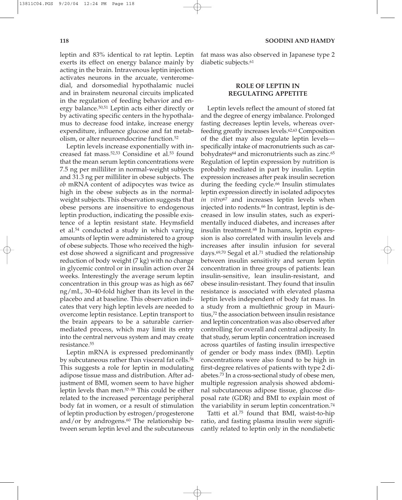leptin and 83% identical to rat leptin. Leptin exerts its effect on energy balance mainly by acting in the brain. Intravenous leptin injection activates neurons in the arcuate, venteromedial, and dorsomedial hypothalamic nuclei and in brainstem neuronal circuits implicated in the regulation of feeding behavior and energy balance.50,51 Leptin acts either directly or by activating specific centers in the hypothalamus to decrease food intake, increase energy expenditure, influence glucose and fat metabolism, or alter neuroendocrine function.52

Leptin levels increase exponentially with increased fat mass.52,53 Considine et al.53 found that the mean serum leptin concentrations were 7.5 ng per milliliter in normal-weight subjects and 31.3 ng per milliliter in obese subjects. The *ob* mRNA content of adipocytes was twice as high in the obese subjects as in the normalweight subjects. This observation suggests that obese persons are insensitive to endogenous leptin production, indicating the possible existence of a leptin resistant state. Heymsfield et al.54 conducted a study in which varying amounts of leptin were administered to a group of obese subjects. Those who received the highest dose showed a significant and progressive reduction of body weight (7 kg) with no change in glycemic control or in insulin action over 24 weeks. Interestingly the average serum leptin concentration in this group was as high as 667 ng/mL, 30–40-fold higher than its level in the placebo and at baseline. This observation indicates that very high leptin levels are needed to overcome leptin resistance. Leptin transport to the brain appears to be a saturable carriermediated process, which may limit its entry into the central nervous system and may create resistance.55

Leptin mRNA is expressed predominantly by subcutaneous rather than visceral fat cells.<sup>56</sup> This suggests a role for leptin in modulating adipose tissue mass and distribution. After adjustment of BMI, women seem to have higher leptin levels than men.57–59 This could be either related to the increased percentage peripheral body fat in women, or a result of stimulation of leptin production by estrogen/progesterone and/or by androgens.<sup>60</sup> The relationship between serum leptin level and the subcutaneous fat mass was also observed in Japanese type 2 diabetic subjects.<sup>61</sup>

## **ROLE OF LEPTIN IN REGULATING APPETITE**

Leptin levels reflect the amount of stored fat and the degree of energy imbalance. Prolonged fasting decreases leptin levels, whereas overfeeding greatly increases levels.62,63 Composition of the diet may also regulate leptin levels specifically intake of macronutrients such as carbohydrates<sup>64</sup> and micronutrients such as zinc.<sup>65</sup> Regulation of leptin expression by nutrition is probably mediated in part by insulin. Leptin expression increases after peak insulin secretion during the feeding cycle.<sup>66</sup> Insulin stimulates leptin expression directly in isolated adipocytes *in vitro*<sup>67</sup> and increases leptin levels when injected into rodents.<sup>66</sup> In contrast, leptin is decreased in low insulin states, such as experimentally induced diabetes, and increases after insulin treatment.68 In humans, leptin expression is also correlated with insulin levels and increases after insulin infusion for several days.69,70 Segal et al.71 studied the relationship between insulin sensitivity and serum leptin concentration in three groups of patients: lean insulin-sensitive, lean insulin-resistant, and obese insulin-resistant. They found that insulin resistance is associated with elevated plasma leptin levels independent of body fat mass. In a study from a multiethnic group in Mauritius,72 the association between insulin resistance and leptin concentration was also observed after controlling for overall and central adiposity. In that study, serum leptin concentration increased across quartiles of fasting insulin irrespective of gender or body mass index (BMI). Leptin concentrations were also found to be high in first-degree relatives of patients with type 2 diabetes.73 In a cross-sectional study of obese men, multiple regression analysis showed abdominal subcutaneous adipose tissue, glucose disposal rate (GDR) and BMI to explain most of the variability in serum leptin concentration.74

Tatti et al.75 found that BMI, waist-to-hip ratio, and fasting plasma insulin were significantly related to leptin only in the nondiabetic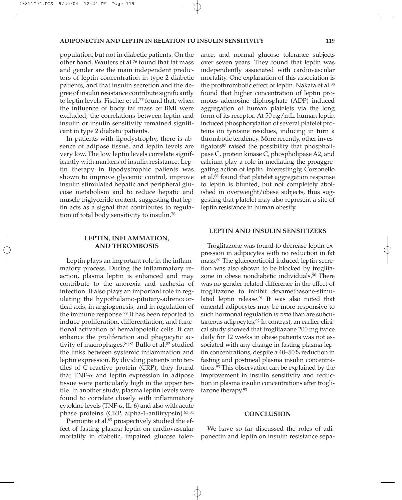population, but not in diabetic patients. On the other hand, Wauters et al.76 found that fat mass and gender are the main independent predictors of leptin concentration in type 2 diabetic patients, and that insulin secretion and the degree of insulin resistance contribute significantly to leptin levels. Fischer et al.<sup>77</sup> found that, when the influence of body fat mass or BMI were excluded, the correlations between leptin and insulin or insulin sensitivity remained significant in type 2 diabetic patients.

In patients with lipodystrophy, there is absence of adipose tissue, and leptin levels are very low. The low leptin levels correlate significantly with markers of insulin resistance. Leptin therapy in lipodystrophic patients was shown to improve glycemic control, improve insulin stimulated hepatic and peripheral glucose metabolism and to reduce hepatic and muscle triglyceride content, suggesting that leptin acts as a signal that contributes to regulation of total body sensitivity to insulin.78

#### **LEPTIN, INFLAMMATION, AND THROMBOSIS**

Leptin plays an important role in the inflammatory process. During the inflammatory reaction, plasma leptin is enhanced and may contribute to the anorexia and cachexia of infection. It also plays an important role in regulating the hypothalamo-pitutary-adrenocortical axis, in angiogenesis, and in regulation of the immune response.79 It has been reported to induce proliferation, differentiation, and functional activation of hematopoietic cells. It can enhance the proliferation and phagocytic activity of macrophages.<sup>80,81</sup> Bullo et al.<sup>82</sup> studied the links between systemic inflammation and leptin expression. By dividing patients into tertiles of C-reactive protein (CRP), they found that TNF- $\alpha$  and leptin expression in adipose tissue were particularly high in the upper tertile. In another study, plasma leptin levels were found to correlate closely with inflammatory cytokine levels (TNF- $\alpha$ , IL-6) and also with acute phase proteins (CRP, alpha-1-antitrypsin).83,84

Piemonte et al.<sup>85</sup> prospectively studied the effect of fasting plasma leptin on cardiovascular mortality in diabetic, impaired glucose tolerance, and normal glucose tolerance subjects over seven years. They found that leptin was independently associated with cardiovascular mortality. One explanation of this association is the prothrombotic effect of leptin. Nakata et al.86 found that higher concentration of leptin promotes adenosine diphosphate (ADP)–induced aggregation of human platelets via the long form of its receptor. At 50 ng/mL, human leptin induced phosphorylation of several platelet proteins on tyrosine residues, inducing in turn a thrombotic tendency. More recently, other investigators<sup>87</sup> raised the possibility that phospholipase C, protein kinase C, phospholipase A2, and calcium play a role in mediating the proaggregating action of leptin. Interestingly, Corsonello et al.88 found that platelet aggregation response to leptin is blunted, but not completely abolished in overweight/obese subjects, thus suggesting that platelet may also represent a site of leptin resistance in human obesity.

#### **LEPTIN AND INSULIN SENSITIZERS**

Troglitazone was found to decrease leptin expression in adipocytes with no reduction in fat mass.89 The glucocorticoid induced leptin secretion was also shown to be blocked by troglitazone in obese nondiabetic individuals.90 There was no gender-related difference in the effect of troglitazone to inhibit dexamethasone-stimulated leptin release.<sup>91</sup> It was also noted that omental adipocytes may be more responsive to such hormonal regulation *in vivo* than are subcutaneous adipocytes.92 In contrast, an earlier clinical study showed that troglitazone 200 mg twice daily for 12 weeks in obese patients was not associated with any change in fasting plasma leptin concentrations, despite a 40–50% reduction in fasting and postmeal plasma insulin concentrations.93 This observation can be explained by the improvement in insulin sensitivity and reduction in plasma insulin concentrations after troglitazone therapy.93

#### **CONCLUSION**

We have so far discussed the roles of adiponectin and leptin on insulin resistance sepa-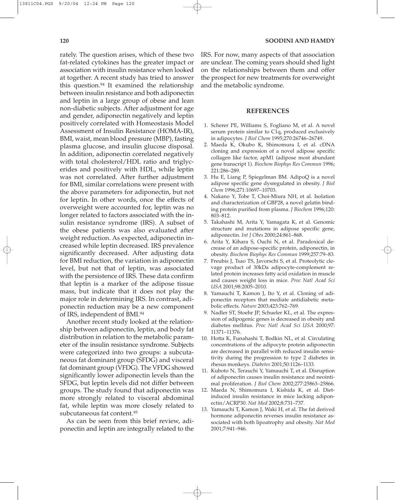rately. The question arises, which of these two fat-related cytokines has the greater impact or association with insulin resistance when looked at together. A recent study has tried to answer this question.94 It examined the relationship between insulin resistance and both adiponectin and leptin in a large group of obese and lean non-diabetic subjects. After adjustment for age and gender, adiponectin negatively and leptin positively correlated with Homeostasis Model Assessment of Insulin Resistance (HOMA-IR), BMI, waist, mean blood pressure (MBP), fasting plasma glucose, and insulin glucose disposal. In addition, adiponectin correlated negatively with total cholesterol/HDL ratio and triglycerides and positively with HDL, while leptin was not correlated. After further adjustment for BMI, similar correlations were present with the above parameters for adiponectin, but not for leptin. In other words, once the effects of overweight were accounted for, leptin was no longer related to factors associated with the insulin resistance syndrome (IRS). A subset of the obese patients was also evaluated after weight reduction. As expected, adiponectin increased while leptin decreased. IRS prevalence significantly decreased. After adjusting data for BMI reduction, the variation in adiponectin level, but not that of leptin, was associated with the persistence of IRS. These data confirm that leptin is a marker of the adipose tissue mass, but indicate that it does not play the major role in determining IRS. In contrast, adiponectin reduction may be a new component of IRS, independent of BMI.94

Another recent study looked at the relationship between adiponectin, leptin, and body fat distribution in relation to the metabolic parameter of the insulin resistance syndrome. Subjects were categorized into two groups: a subcutaneous fat dominant group (SFDG) and visceral fat dominant group (VFDG). The VFDG showed significantly lower adiponectin levels than the SFDG, but leptin levels did not differ between groups. The study found that adiponectin was more strongly related to visceral abdominal fat, while leptin was more closely related to subcutaneous fat content.95

As can be seen from this brief review, adiponectin and leptin are integrally related to the IRS. For now, many aspects of that association are unclear. The coming years should shed light on the relationships between them and offer the prospect for new treatments for overweight and the metabolic syndrome.

#### **REFERENCES**

- 1. Scherer PE, Williams S, Fogliano M, et al. A novel serum protein similar to C1q, produced exclusively in adipocytes. *J Biol Chem* 1995;270:26746–26749.
- 2. Maeda K, Okubo K, Shimomura I, et al. cDNA cloning and expression of a novel adipose specific collagen like factor, apM1 (adipose most abundant gene transcript 1). *Biochem Biophys Res Commun* 1996; 221:286–289.
- 3. Hu E, Liang P, Spiegelman BM. AdipoQ is a novel adipose specific gene dysregulated in obesity. *J Biol Chem* 1996;271:10697–10703.
- 4. Nakano Y, Tobe T, Choi-Miura NH, et al. Isolation and characterization of GBP28, a novel gelatin binding protein purified from plasma. *J Biochem* 1996;120: 803–812.
- 5. Takahashi M, Arita Y, Yamagata K, et al. Genomic structure and mutations in adipose specific gene, adiponectin. *Int J Obes* 2000;24:861–868.
- 6. Arita Y, Kihara S, Ouchi N, et al. Paradoxical decrease of an adipose-specific protein, adiponectin, in obesity. *Biochem Biophys Res Commun* 1999;257:79–83.
- 7. Freubis J, Tsao TS, Javorschi S, et al. Proteolytic clevage product of 30kDa adipocyte-complement related protein increases fatty acid oxidation in muscle and causes weight loss in mice. *Proc Natl Acad Sci USA* 2001;98:2005–2010.
- 8. Yamauchi T, Kamon J, Ito Y, et al. Cloning of adiponectin receptors that mediate antidiabetic metabolic effects. *Nature* 2003;423:762–769.
- 9. Nadler ST, Stoehr JP, Schueler KL, et al. The expression of adipogenic genes is decreased in obesity and diabetes mellitus. *Proc Natl Acad Sci USA* 2000;97: 11371–11376.
- 10. Hotta K, Funahashi T, Bodkin NL, et al. Circulating concentrations of the adipocyte protein adiponectin are decreased in parallel with reduced insulin sensitivity during the progression to type 2 diabetes in rhesus monkeys. *Diabetes* 2001;50:1126–1133.
- 11. Kuboto N, Terauchi Y, Yamauchi T, et al. Disruption of adiponectin causes insulin resistance and neointimal proliferation. *J Biol Chem* 2002;277:25863–25866.
- 12. Maeda N, Shimomura I, Kishida K, et al. Dietinduced insulin resistance in mice lacking adiponectin/ACRP30. *Nat Med* 2002;8:731–737.
- 13. Yamauchi T, Kamon J, Waki H, et al. The fat derived hormone adiponectin reverses insulin resistance associated with both lipoatrophy and obesity. *Nat Med* 2001;7:941–946.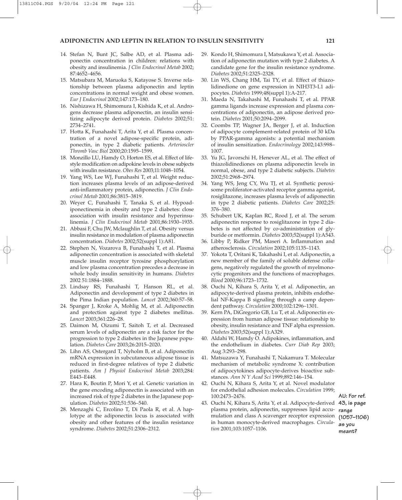- 14. Stefan N, Bunt JC, Salbe AD, et al. Plasma adiponectin concentration in children: relations with obesity and insulinemia. *J Clin Endocrinol Metab* 2002; 87:4652–4656.
- 15. Matsubara M, Maruoka S, Katayose S. Inverse relationship between plasma adiponectin and leptin concentrations in normal weight and obese women. *Eur J Endocrinol* 2002;147:173–180.
- 16. Nishizawa H, Shimomura I, Kishida K, et al. Androgens decrease plasma adiponectin, an insulin sensitizing adipocyte derived protein. *Diabetes* 2002;51: 2734–2741.
- 17. Hotta K, Funahashi T, Arita Y, et al. Plasma concentration of a novel adipose-specific protein, adiponectin, in type 2 diabetic patients. *Arterioscler Thromb Vasc Biol* 2000;20:1595–1599.
- 18. Monzillo LU, Hamdy O, Horton ES, et al. Effect of lifestyle modification on adipokine levels in obese subjects with insulin resistance. *Obes Res* 2003;11:1048–1054.
- 19. Yang WS, Lee WJ, Funahashi T, et al. Weight reduction increases plasma levels of an adipose-derived anti-inflammatory protein, adiponectin. *J Clin Endocrinol Metab* 2001;86:3815–3819.
- 20. Weyer C, Funahashi T, Tanaka S, et al. Hypoadiponectinemia in obesity and type 2 diabetes: close association with insulin resistance and hyperinsulinemia. *J Clin Endocrinol Metab* 2001;86:1930–1935.
- 21. Abbasi F, Chu JW, Mclaughlin T, et al. Obesity versus insulin resistance in modulation of plasma adiponectin concentration. *Diabetes* 2002;52(suppl 1):A81.
- 22. Stephen N, Vozarova B, Funahashi T, et al. Plasma adiponectin concentration is associated with skeletal muscle insulin receptor tyrosine phosphorylation and low plasma concentration precedes a decrease in whole body insulin sensitivity in humans. *Diabetes* 2002 51:1884–1888.
- 23. Lindsay RS, Funahashi T, Hanson RL, et al. Adiponectin and development of type 2 diabetes in the Pima Indian population. *Lancet* 2002;360:57–58.
- 24. Spanger J, Kroke A, Mohlig M, et al. Adiponectin and protection against type 2 diabetes mellitus. *Lancet* 2003;361:226–28.
- 25. Daimon M, Oizumi T, Saitoh T, et al. Decreased serum levels of adiponectin are a risk factor for the progression to type 2 diabetes in the Japanese population. *Diabetes Care* 2003;26:2015–2020.
- 26. Lihn AS, Ostergard T, Nyholm B, et al. Adiponectin mRNA expression in subcutaneous adipose tissue is reduced in first-degree relatives of type 2 diabetic patients. *Am J Physiol Endocrinol Metab* 2003;284: E443–E448.
- 27. Hara K, Boutin P, Mori Y, et al. Genetic variation in the gene encoding adiponectin is associated with an increased risk of type 2 diabetes in the Japanese population. *Diabetes* 2002;51:536–540.
- 28. Menzaghi C, Ercolino T, Di Paola R, et al. A haplotype at the adiponectin locus is associated with obesity and other features of the insulin resistance syndrome. *Diabetes* 2002;51:2306–2312.
- 29. Kondo H, Shimomura I, Matsukawa Y, et al. Association of adiponectin mutation with type 2 diabetes. A candidate gene for the insulin resistance syndrome. *Diabetes* 2002;51:2325–2328.
- 30. Lin WS, Chang HM, Tai TY, et al. Effect of thiazolidinedione on gene expression in NIH3T3-L1 adipocytes. *Diabetes* 1999;48(suppl 1):A-217.
- 31. Maeda N, Takahashi M, Funahashi T, et al. PPAR gamma ligands increase expression and plasma concentrations of adiponectin, an adipose derived protein. *Diabetes* 2001;50:2094–2099.
- 32. Coombs TP, Wagner JA, Berger J, et al. Induction of adipocyte complement-related protein of 30 kDa by PPAR-gamma agonists: a potential mechanism of insulin sensitization. *Endocrinology* 2002;143:998– 1007.
- 33. Yu JG, Javorschi H, Henever AL, et al. The effect of thiazolidinediones on plasma adiponectin levels in normal, obese, and type 2 diabetic subjects. *Diabetes* 2002;51:2968–2974.
- 34. Yang WS, Jeng CY, Wu TJ, et al. Synthetic peroxisome proliferator-activated receptor gamma agonist, rosiglitazone, increases plasma levels of adiponectin in type 2 diabetic patients. *Diabetes Care* 2002;25: 376–380.
- 35. Schubert UK, Kaplan RC, Rood J, et al. The serum adiponectin response to rosiglitazone in type 2 diabetes is not affected by co-administration of glyburide or metformin. *Diabetes* 2003;52(suppl 1):A543.
- 36. Libby P, Ridker PM, Maseri A. Inflammation and atherosclerosis. *Circulation* 2002;105:1135–1143.
- 37. Yokota T, Oritani K, Takahashi I, et al. Adiponectin, a new member of the family of soluble defense collagens, negatively regulated the growth of myelmonocytic progenitors and the functions of macrophages. *Blood* 2000;96:1723–1732.
- 38. Ouchi N, Kihara S, Arita Y, et al. Adiponectin, an adipocyte-derived plasma protein, inhibits endothelial NF-Kappa B signaling through a camp dependent pathway. *Circulation* 2000;102:1296–1301.
- 39. Kern PA, DiGregorio GB, Lu T, et al. Adiponectin expression from human adipose tissue: relationship to obesity, insulin resistance and TNF alpha expression. *Diabetes* 2003;52(suppl 1):A329.
- 40. Aldahi W, Hamdy O. Adipokines, inflammation, and the endothelium in diabetes. *Curr Diab Rep* 2003; Aug 3:293–298.
- 41. Matsuzawa Y, Funahashi T, Nakamura T. Molecular mechanism of metabolic syndrome X: contribution of adipocytokines adipocyte-derives bioactive substances. *Ann N Y Acad Sci* 1999;892:146–154.
- 42. Ouchi N, Kihara S, Arita Y, et al. Novel modulator for endothelial adhesion molecules. *Circulation* 1999; 100:2473–2476.
- 43. Ouchi N, Kihara S, Arita Y, et al. Adipocyte-derived **43, is page** plasma protein, adiponectin, suppresses lipid accumulation and class A scavenger receptor expression in human monocyte-derived macrophages. *Circulation* 2001;103:1057–1106.

**AU: For ref. range (1057–1106) as you meant?**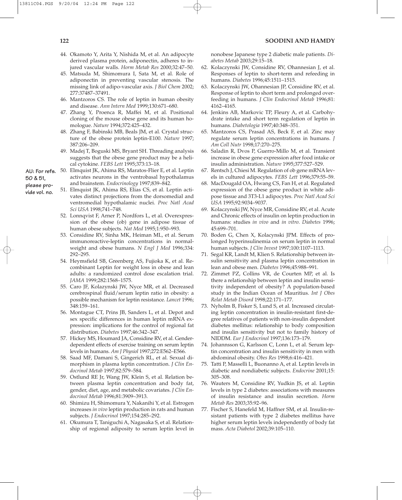- 44. Okamoto Y, Arita Y, Nishida M, et al. An adipocyte derived plasma protein, adiponectin, adheres to injured vascular walls. *Horm Metab Res* 2000;32:47–50.
- 45. Matsuda M, Shimomura I, Sata M, et al. Role of adiponectin in preventing vascular stenosis. The missing link of adipo-vascular axis. *J Biol Chem* 2002; 277:37487–37491.
- 46. Mantzoros CS. The role of leptin in human obesity and disease. *Ann Intern Med* 1999;130:671–680.
- 47. Zhang Y, Proenca R, Maffei M, et al. Positional cloning of the mouse obese gene and its human homologue. *Nature* 1994;372:425–432.
- 48. Zhang F, Babinski MB, Beals JM, et al. Crystal structure of the obese protein leptin-E100. *Nature* 1997; 387:206–209.
- 49. Madej T, Boguski MS, Bryant SH. Threading analysis suggests that the obese gene product may be a helical cytokine. *FEBS Lett* 1995;373:13–18.
- 50. Elmquist JK, Ahima RS, Maratos-Flier E, et al. Leptin activates neurons in the ventrobasal hypothalamus and brainstem. *Endocrinology* 1997;839–842. **AU: For refs.**
	- 51. Elmquist JK, Ahima RS, Elias CS, et al. Leptin activates distinct projections from the dorsomedial and ventromedial hypothalamic nuclei. *Proc Natl Acad Sci USA* 1998;741–748.
		- 52. Lonnqvist F, Arner P, Nordfors L, et al. Overexpression of the obese (ob) gene in adipose tissue of human obese subjects. *Nat Med* 1995;1:950–993.
		- 53. Considine RV, Sinha MK, Heiman ML, et al. Serum immunoreactive-leptin concentrations in normalweight and obese humans. *N Engl J Med* 1996;334: 292–295.
		- 54. Heymsfield SB, Greenberg AS, Fujioka K, et al. Recombinant Leptin for weight loss in obese and lean adults: a randomized control dose escalation trial. *JAMA* 1999;282:1568–1575.
		- 55. Caro JF, Kolazynski JW, Nyce MR, et al. Decreased cerebrospinal fluid/serum leptin ratio in obesity: a possible mechanism for leptin resistance. *Lancet* 1996; 348:159–161.
		- 56. Montague CT, Prins JB, Sanders L, et al. Depot and sex specific differences in human leptin mRNA expression: implications for the control of regional fat distribution. *Diabetes* 1997;46:342–347.
		- 57. Hickey MS, Houmard JA, Considine RV, et al. Genderdependent effects of exercise training on serum leptin levels in humans. *Am J Physiol* 1997;272:E562–E566.
		- 58. Saad MF, Damani S, Gingerich RL, et al. Sexual dimorphism in plasma leptin concentration. *J Clin Endocrinol Metab* 1997;82:579–584.
		- 59. Ostlund RE Jr, Wang JW, Klein S, et al. Relation between plasma leptin concentration and body fat, gender, diet, age, and metabolic covariates. *J Clin Endocrinol Metab* 1996;81:3909–3913.
		- 60. Shimizu H, Shimomura Y, Nakanihi Y, et al. Estrogen increases *in vivo* leptin production in rats and human subjects. *J Endocrinol* 1997;154:285–292.
		- 61. Okumura T, Taniguchi A, Nagasaka S, et al. Relationship of regional adiposity to serum leptin level in

nonobese Japanese type 2 diabetic male patients. *Diabetes Metab* 2003;29:15–18.

- 62. Kolaczynski JW, Considine RV, Ohannesian J, et al. Responses of leptin to short-term and refeeding in humans. *Diabetes* 1996;45:1511–1515.
- 63. Kolaczynski JW, Ohannesian JP, Considine RV, et al. Response of leptin to short term and prolonged overfeeding in humans. *J Clin Endocrinol Metab* 1996;81: 4162–4165.
- 64. Jenkins AB, Markovic TP, Fleury A, et al. Carbohydrate intake and short term regulation of leptin in humans. *Diabetologia* 1997;40:348–351.
- 65. Mantzoros CS, Prasad AS, Beck F, et al. Zinc may regulate serum leptin concentrations in humans. *J Am Coll Nutr* 1998;17:270–275.
- 66. Saladin R, Dvos P, Guerro-Millo M, et al. Transient increase in obese gene expression after food intake or insulin administration. *Nature* 1995;377:527–529.
- 67. Rentsch J, Chiesi M. Regulation of ob gene mRNA levels in cultured adipocytes. *FEBS Lett* 1996;379:55–59.
- 68. MacDougald OA, Hwang CS, Fan H, et al. Regulated expression of the obese gene product in white adipose tissue and 3T3-L1 adipocytes. *Proc Natl Acad Sci USA* 1995;92:9034–9037.
- 69. Kolaczynski JW, Nyce MR, Considine RV, et al. Acute and Chronic effects of insulin on leptin production in humans: studies *in vivo* and *in vitro*. *Diabetes* 1996; 45:699–701.
- 70. Boden G, Chen X, Kolacynski JPM. Effects of prolonged hyperinsulinemia on serum leptin in normal human subjects. *J Clin Invest* 1997;100:1107–1113.
- 71. Segal KR, Landt M, Klien S. Relationship between insulin sensitivity and plasma leptin concentration in lean and obese men. *Diabetes* 1996;45:988–991.
- 72. Zimmet PZ, Collins VR, de Courten MP, et al. Is there a relationship between leptin and insulin sensitivity independent of obesity? A population-based study in the Indian Ocean of Mauritius. *Int J Obes Relat Metab Disord* 1998;22:171–177.
- 73. Nyholm B, Fisker S, Lund S, et al. Increased circulating leptin concentration in insulin-resistant first-degree relatives of patients with non-insulin dependent diabetes mellitus: relationship to body composition and insulin sensitivity but not to family history of NIDDM. *Eur J Endocrinol* 1997;136:173–179.
- 74. Johannsson G, Karlsson C, Lonn L, et al. Serum leptin concentration and insulin sensitivity in men with abdominal obesity. *Obes Res* 1998;6:416–421.
- 75. Tatti P, Masselli L, Buonanno A, et al. Leptin levels in diabetic and nondiabetic subjects. *Endocrine* 2001;15: 305–308.
- 76. Wauters M, Considine RV, Yudkin JS, et al. Leptin levels in type 2 diabetes: associations with measures of insulin resistance and insulin secretion. *Horm Metab Res* 2003;35:92–96.
- 77. Fischer S, Hanefeld M, Haffner SM, et al. Insulin-resistant patients with type 2 diabetes mellitus have higher serum leptin levels independently of body fat mass. *Acta Diabetol* 2002;39:105–110.

**50 & 51, please pro-**

**vide vol. no.**